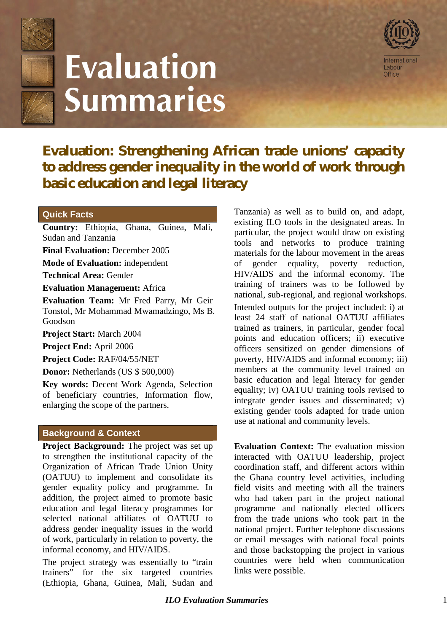

# **Evaluation Summaries**



**Evaluation: Strengthening African trade unions' capacity to address gender inequality in the world of work through basic education and legal literacy**

### **Quick Facts**

**Country:** Ethiopia, Ghana, Guinea, Mali, Sudan and Tanzania

**Final Evaluation:** December 2005

**Mode of Evaluation:** independent

**Technical Area:** Gender

**Evaluation Management:** Africa

**Evaluation Team:** Mr Fred Parry, Mr Geir Tonstol, Mr Mohammad Mwamadzingo, Ms B. Goodson

**Project Start:** March 2004

**Project End:** April 2006

**Project Code:** RAF/04/55/NET

**Donor:** Netherlands (US \$ 500,000)

**Key words:** Decent Work Agenda, Selection of beneficiary countries, Information flow, enlarging the scope of the partners.

#### **Background & Context**

**Project Background:** The project was set up to strengthen the institutional capacity of the Organization of African Trade Union Unity (OATUU) to implement and consolidate its gender equality policy and programme. In addition, the project aimed to promote basic education and legal literacy programmes for selected national affiliates of OATUU to address gender inequality issues in the world of work, particularly in relation to poverty, the informal economy, and HIV/AIDS.

The project strategy was essentially to "train trainers" for the six targeted countries (Ethiopia, Ghana, Guinea, Mali, Sudan and Tanzania) as well as to build on, and adapt, existing ILO tools in the designated areas. In particular, the project would draw on existing tools and networks to produce training materials for the labour movement in the areas of gender equality, poverty reduction, HIV/AIDS and the informal economy. The training of trainers was to be followed by national, sub-regional, and regional workshops. Intended outputs for the project included: i) at least 24 staff of national OATUU affiliates trained as trainers, in particular, gender focal points and education officers; ii) executive officers sensitized on gender dimensions of poverty, HIV/AIDS and informal economy; iii) members at the community level trained on basic education and legal literacy for gender equality; iv) OATUU training tools revised to integrate gender issues and disseminated; v) existing gender tools adapted for trade union use at national and community levels.

**Evaluation Context:** The evaluation mission interacted with OATUU leadership, project coordination staff, and different actors within the Ghana country level activities, including field visits and meeting with all the trainers who had taken part in the project national programme and nationally elected officers from the trade unions who took part in the national project. Further telephone discussions or email messages with national focal points and those backstopping the project in various countries were held when communication links were possible.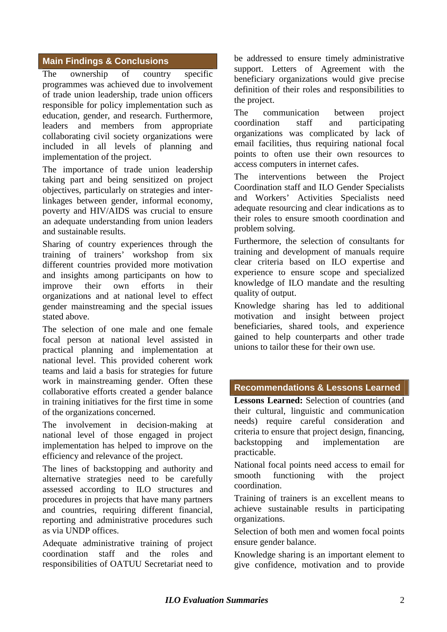## **Main Findings & Conclusions**

The ownership of country specific programmes was achieved due to involvement of trade union leadership, trade union officers responsible for policy implementation such as education, gender, and research. Furthermore, leaders and members from appropriate collaborating civil society organizations were included in all levels of planning and implementation of the project.

The importance of trade union leadership taking part and being sensitized on project objectives, particularly on strategies and interlinkages between gender, informal economy, poverty and HIV/AIDS was crucial to ensure an adequate understanding from union leaders and sustainable results.

Sharing of country experiences through the training of trainers' workshop from six different countries provided more motivation and insights among participants on how to improve their own efforts in their organizations and at national level to effect gender mainstreaming and the special issues stated above.

The selection of one male and one female focal person at national level assisted in practical planning and implementation at national level. This provided coherent work teams and laid a basis for strategies for future work in mainstreaming gender. Often these collaborative efforts created a gender balance in training initiatives for the first time in some of the organizations concerned.

The involvement in decision-making at national level of those engaged in project implementation has helped to improve on the efficiency and relevance of the project.

The lines of backstopping and authority and alternative strategies need to be carefully assessed according to ILO structures and procedures in projects that have many partners and countries, requiring different financial, reporting and administrative procedures such as via UNDP offices.

Adequate administrative training of project coordination staff and the roles and responsibilities of OATUU Secretariat need to be addressed to ensure timely administrative support. Letters of Agreement with the beneficiary organizations would give precise definition of their roles and responsibilities to the project.

The communication between project coordination staff and participating organizations was complicated by lack of email facilities, thus requiring national focal points to often use their own resources to access computers in internet cafes.

The interventions between the Project Coordination staff and ILO Gender Specialists and Workers' Activities Specialists need adequate resourcing and clear indications as to their roles to ensure smooth coordination and problem solving.

Furthermore, the selection of consultants for training and development of manuals require clear criteria based on ILO expertise and experience to ensure scope and specialized knowledge of ILO mandate and the resulting quality of output.

Knowledge sharing has led to additional motivation and insight between project beneficiaries, shared tools, and experience gained to help counterparts and other trade unions to tailor these for their own use.

#### **Recommendations & Lessons Learned**

**Lessons Learned:** Selection of countries (and their cultural, linguistic and communication needs) require careful consideration and criteria to ensure that project design, financing, backstopping and implementation are practicable.

National focal points need access to email for smooth functioning with the project coordination.

Training of trainers is an excellent means to achieve sustainable results in participating organizations.

Selection of both men and women focal points ensure gender balance.

Knowledge sharing is an important element to give confidence, motivation and to provide